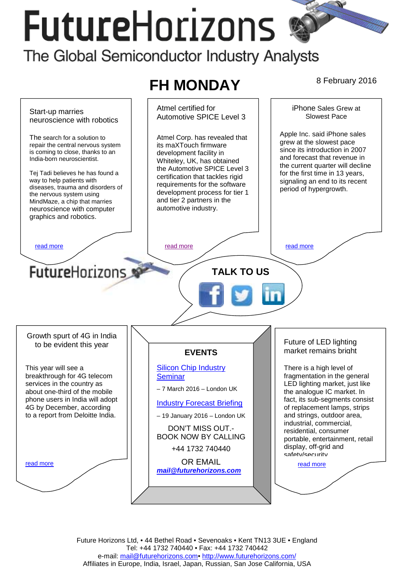# **FutureHorizons** The Global Semiconductor Industry Analysts

#### **FH MONDAY** 8 February 2016 Atmel certified for iPhone Sales Grew at Start-up marries Automotive SPICE Level 3 Slowest Pace neuroscience with robotics Apple Inc. said iPhone sales The search for a solution to Atmel Corp. has revealed that grew at the slowest pace repair the central nervous system its maXTouch firmware since its introduction in 2007 is coming to close, thanks to an development facility in and forecast that revenue in India-born neuroscientist. Whiteley, UK, has obtained the current quarter will decline the Automotive SPICE Level 3 Tej Tadi believes he has found a for the first time in 13 years, certification that tackles rigid way to help patients with signaling an end to its recent requirements for the software diseases, trauma and disorders of period of hypergrowth. development process for tier 1 the nervous system using and tier 2 partners in the MindMaze, a chip that marries automotive industry. neuroscience with computer graphics and robotics. [read more](#page-1-0) that the second contract the read more that the read more in the read more that the read more in the read more FutureHorizons **TALK TO US**  Growth spurt of 4G in India Future of LED lighting to be evident this year market remains bright **EVENTS**  [Silicon Chip Industry](http://www.futurehorizons.com/page/12/silicon-chip-training)  This year will see a There is a high level of breakthrough for 4G telecom [Seminar](http://www.futurehorizons.com/page/12/silicon-chip-training)  fragmentation in the general services in the country as LED lighting market, just like – 7 March 2016 – London UK about one-third of the mobile the analogue IC market. In phone users in India will adopt fact, its sub-segments consist [Industry Forecast Briefing](http://www.futurehorizons.com/page/13/Semiconductor-Market-Forecast-Seminar) 4G by December, according of replacement lamps, strips to a report from Deloitte India. and strings, outdoor area, – 19 January 2016 – London UK industrial, commercial, DON'T MISS OUT. residential, consumer BOOK NOW BY CALLING portable, entertainment, retail display, off-grid and +44 1732 740440 safety/security OR EMAIL read more read more *[mail@futurehorizons.com](mailto:mail@futurehorizons.com)*

Future Horizons Ltd, • 44 Bethel Road • Sevenoaks • Kent TN13 3UE • England Tel: +44 1732 740440 • Fax: +44 1732 740442 e-mail: mail@futurehorizons.com• http://www.futurehorizons.com/ Affiliates in Europe, India, Israel, Japan, Russian, San Jose California, USA